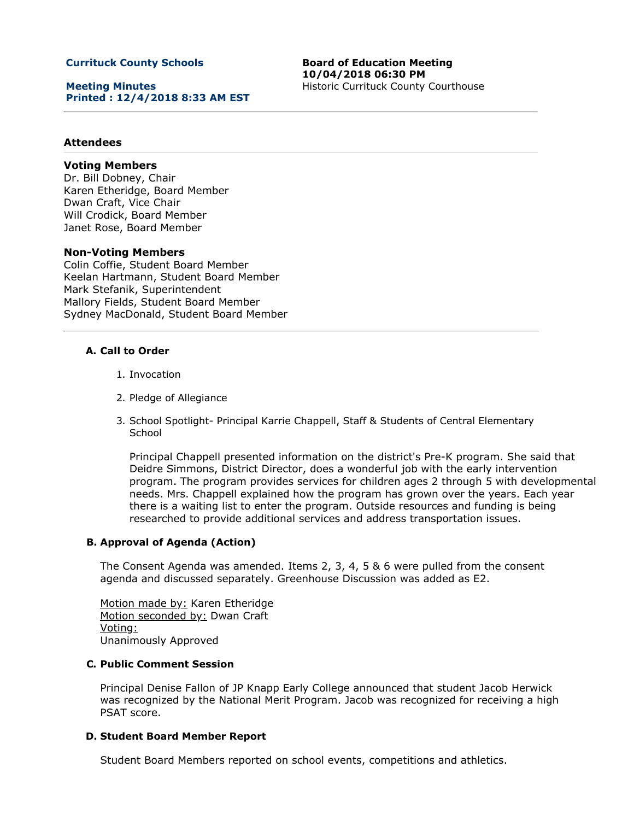### **Currituck County Schools**

**Meeting Minutes Printed : 12/4/2018 8:33 AM EST** **Board of Education Meeting 10/04/2018 06:30 PM** Historic Currituck County Courthouse

### **Attendees**

## **Voting Members**

Dr. Bill Dobney, Chair Karen Etheridge, Board Member Dwan Craft, Vice Chair Will Crodick, Board Member Janet Rose, Board Member

### **Non-Voting Members**

Colin Coffie, Student Board Member Keelan Hartmann, Student Board Member Mark Stefanik, Superintendent Mallory Fields, Student Board Member Sydney MacDonald, Student Board Member

#### **A. Call to Order**

- 1. Invocation
- 2. Pledge of Allegiance
- 3. School Spotlight- Principal Karrie Chappell, Staff & Students of Central Elementary **School**

Principal Chappell presented information on the district's Pre-K program. She said that Deidre Simmons, District Director, does a wonderful job with the early intervention program. The program provides services for children ages 2 through 5 with developmental needs. Mrs. Chappell explained how the program has grown over the years. Each year there is a waiting list to enter the program. Outside resources and funding is being researched to provide additional services and address transportation issues.

### **B. Approval of Agenda (Action)**

The Consent Agenda was amended. Items 2, 3, 4, 5 & 6 were pulled from the consent agenda and discussed separately. Greenhouse Discussion was added as E2.

Motion made by: Karen Etheridge Motion seconded by: Dwan Craft Voting: Unanimously Approved

#### **C. Public Comment Session**

Principal Denise Fallon of JP Knapp Early College announced that student Jacob Herwick was recognized by the National Merit Program. Jacob was recognized for receiving a high PSAT score.

### **D. Student Board Member Report**

Student Board Members reported on school events, competitions and athletics.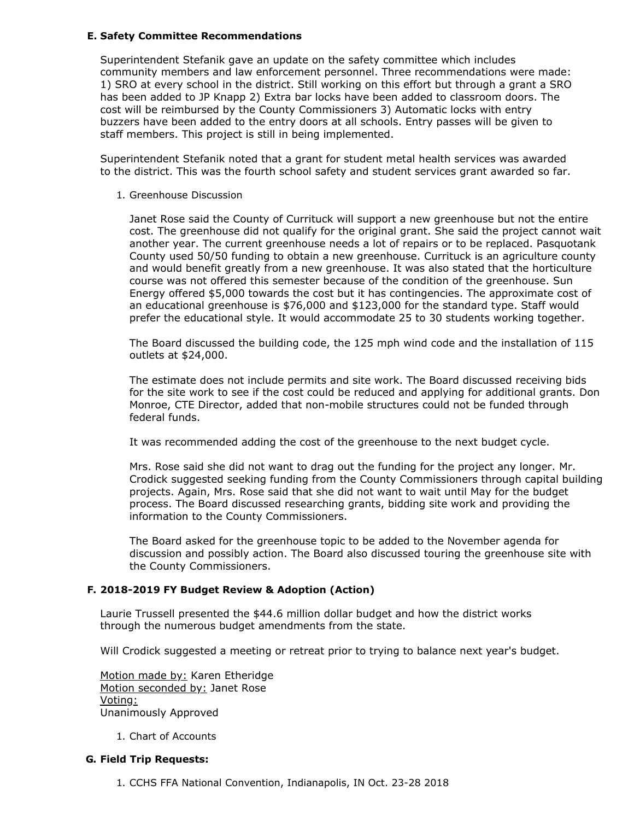### **E. Safety Committee Recommendations**

Superintendent Stefanik gave an update on the safety committee which includes community members and law enforcement personnel. Three recommendations were made: 1) SRO at every school in the district. Still working on this effort but through a grant a SRO has been added to JP Knapp 2) Extra bar locks have been added to classroom doors. The cost will be reimbursed by the County Commissioners 3) Automatic locks with entry buzzers have been added to the entry doors at all schools. Entry passes will be given to staff members. This project is still in being implemented.

Superintendent Stefanik noted that a grant for student metal health services was awarded to the district. This was the fourth school safety and student services grant awarded so far.

1. Greenhouse Discussion

Janet Rose said the County of Currituck will support a new greenhouse but not the entire cost. The greenhouse did not qualify for the original grant. She said the project cannot wait another year. The current greenhouse needs a lot of repairs or to be replaced. Pasquotank County used 50/50 funding to obtain a new greenhouse. Currituck is an agriculture county and would benefit greatly from a new greenhouse. It was also stated that the horticulture course was not offered this semester because of the condition of the greenhouse. Sun Energy offered \$5,000 towards the cost but it has contingencies. The approximate cost of an educational greenhouse is \$76,000 and \$123,000 for the standard type. Staff would prefer the educational style. It would accommodate 25 to 30 students working together.

The Board discussed the building code, the 125 mph wind code and the installation of 115 outlets at \$24,000.

The estimate does not include permits and site work. The Board discussed receiving bids for the site work to see if the cost could be reduced and applying for additional grants. Don Monroe, CTE Director, added that non-mobile structures could not be funded through federal funds.

It was recommended adding the cost of the greenhouse to the next budget cycle.

Mrs. Rose said she did not want to drag out the funding for the project any longer. Mr. Crodick suggested seeking funding from the County Commissioners through capital building projects. Again, Mrs. Rose said that she did not want to wait until May for the budget process. The Board discussed researching grants, bidding site work and providing the information to the County Commissioners.

The Board asked for the greenhouse topic to be added to the November agenda for discussion and possibly action. The Board also discussed touring the greenhouse site with the County Commissioners.

### **F. 2018-2019 FY Budget Review & Adoption (Action)**

Laurie Trussell presented the \$44.6 million dollar budget and how the district works through the numerous budget amendments from the state.

Will Crodick suggested a meeting or retreat prior to trying to balance next year's budget.

Motion made by: Karen Etheridge Motion seconded by: Janet Rose Voting: Unanimously Approved

1. Chart of Accounts

### **G. Field Trip Requests:**

1. CCHS FFA National Convention, Indianapolis, IN Oct. 23-28 2018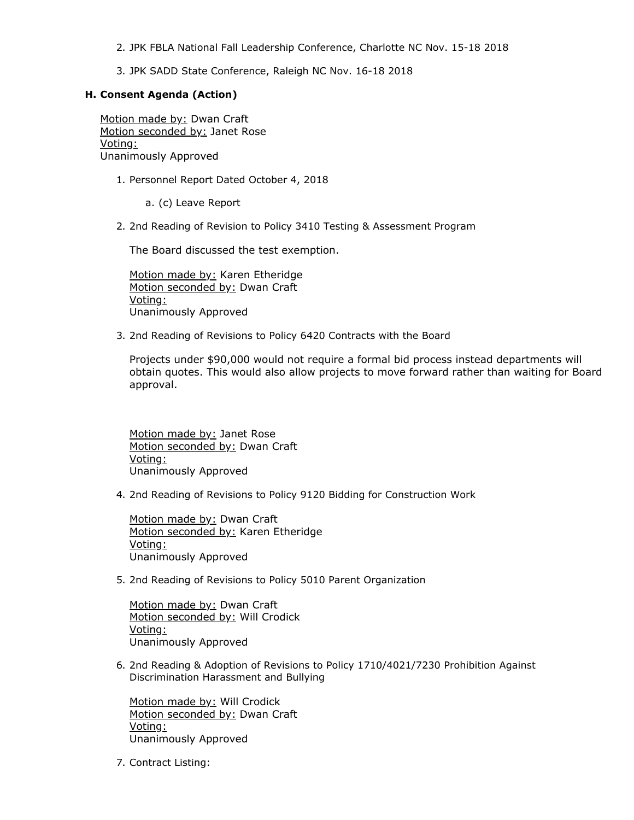- 2. JPK FBLA National Fall Leadership Conference, Charlotte NC Nov. 15-18 2018
- 3. JPK SADD State Conference, Raleigh NC Nov. 16-18 2018

### **H. Consent Agenda (Action)**

Motion made by: Dwan Craft Motion seconded by: Janet Rose Voting: Unanimously Approved

1. Personnel Report Dated October 4, 2018

a. (c) Leave Report

2. 2nd Reading of Revision to Policy 3410 Testing & Assessment Program

The Board discussed the test exemption.

Motion made by: Karen Etheridge Motion seconded by: Dwan Craft Voting: Unanimously Approved

3. 2nd Reading of Revisions to Policy 6420 Contracts with the Board

Projects under \$90,000 would not require a formal bid process instead departments will obtain quotes. This would also allow projects to move forward rather than waiting for Board approval.

Motion made by: Janet Rose Motion seconded by: Dwan Craft Voting: Unanimously Approved

4. 2nd Reading of Revisions to Policy 9120 Bidding for Construction Work

Motion made by: Dwan Craft Motion seconded by: Karen Etheridge Voting: Unanimously Approved

5. 2nd Reading of Revisions to Policy 5010 Parent Organization

Motion made by: Dwan Craft Motion seconded by: Will Crodick Voting: Unanimously Approved

6. 2nd Reading & Adoption of Revisions to Policy 1710/4021/7230 Prohibition Against Discrimination Harassment and Bullying

Motion made by: Will Crodick Motion seconded by: Dwan Craft Voting: Unanimously Approved

7. Contract Listing: